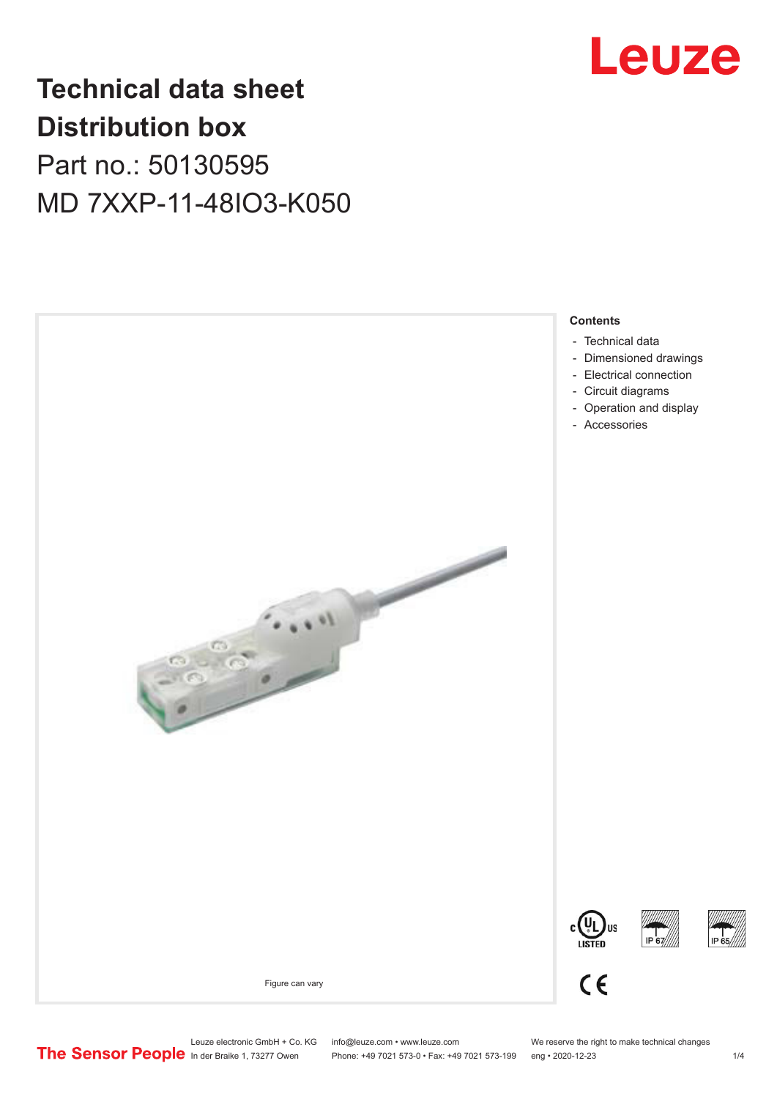

## **Technical data sheet Distribution box**

Part no.: 50130595 MD 7XXP-11-48IO3-K050



Phone: +49 7021 573-0 • Fax: +49 7021 573-199 eng • 2020-12-23 1 /4

Leuze electronic GmbH + Co. KG info@leuze.com • www.leuze.com We reserve the right to make technical changes<br>
The Sensor People in der Braike 1, 73277 Owen Phone: +49 7021 573-0 • Fax: +49 7021 573-199 eng • 2020-12-23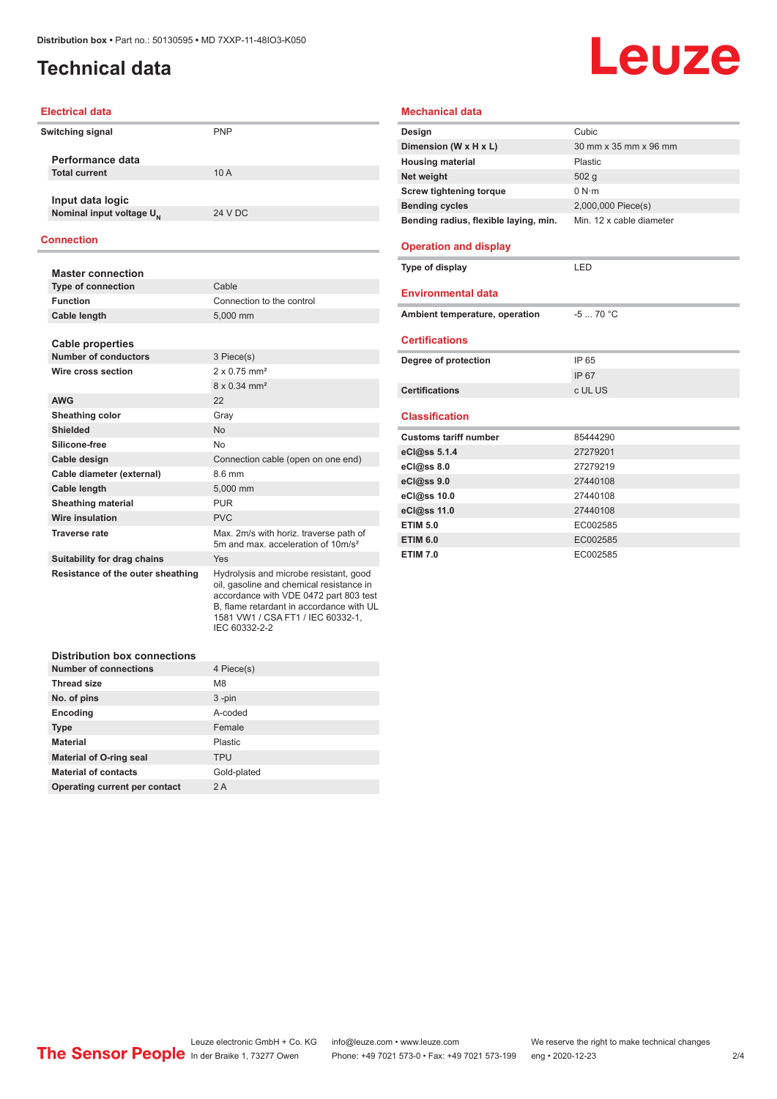#### <span id="page-1-0"></span>**Technical data**

# Leuze

#### **Electrical data**

| Switching signal                     | <b>PNP</b> |
|--------------------------------------|------------|
| Performance data                     |            |
| <b>Total current</b>                 | 10A        |
| Input data logic                     |            |
| Nominal input voltage U <sub>N</sub> | 24 V DC    |
|                                      |            |

#### **Connection**

| <b>Master connection</b>            |                                                                                                                                                                                                                                |
|-------------------------------------|--------------------------------------------------------------------------------------------------------------------------------------------------------------------------------------------------------------------------------|
| <b>Type of connection</b>           | Cable                                                                                                                                                                                                                          |
| <b>Function</b>                     | Connection to the control                                                                                                                                                                                                      |
| Cable length                        | 5,000 mm                                                                                                                                                                                                                       |
|                                     |                                                                                                                                                                                                                                |
| <b>Cable properties</b>             |                                                                                                                                                                                                                                |
| Number of conductors                | 3 Piece(s)                                                                                                                                                                                                                     |
| Wire cross section                  | $2 \times 0.75$ mm <sup>2</sup>                                                                                                                                                                                                |
|                                     | $8 \times 0.34$ mm <sup>2</sup>                                                                                                                                                                                                |
| <b>AWG</b>                          | 22                                                                                                                                                                                                                             |
| Sheathing color                     | Gray                                                                                                                                                                                                                           |
| <b>Shielded</b>                     | <b>No</b>                                                                                                                                                                                                                      |
| Silicone-free                       | <b>No</b>                                                                                                                                                                                                                      |
| Cable design                        | Connection cable (open on one end)                                                                                                                                                                                             |
| Cable diameter (external)           | 86 mm                                                                                                                                                                                                                          |
| <b>Cable length</b>                 | 5.000 mm                                                                                                                                                                                                                       |
| <b>Sheathing material</b>           | <b>PUR</b>                                                                                                                                                                                                                     |
| Wire insulation                     | <b>PVC</b>                                                                                                                                                                                                                     |
| <b>Traverse rate</b>                | Max. 2m/s with horiz. traverse path of<br>5m and max. acceleration of 10m/s <sup>2</sup>                                                                                                                                       |
| Suitability for drag chains         | Yes                                                                                                                                                                                                                            |
| Resistance of the outer sheathing   | Hydrolysis and microbe resistant, good<br>oil, gasoline and chemical resistance in<br>accordance with VDE 0472 part 803 test<br>B, flame retardant in accordance with UL<br>1581 VW1 / CSA FT1 / IEC 60332-1,<br>IEC 60332-2-2 |
| <b>Distribution box connections</b> |                                                                                                                                                                                                                                |

| <b>Number of connections</b>   | 4 Piece(s)  |
|--------------------------------|-------------|
| <b>Thread size</b>             | M8          |
| No. of pins                    | $3 - pin$   |
| Encoding                       | A-coded     |
| <b>Type</b>                    | Female      |
| <b>Material</b>                | Plastic     |
| <b>Material of O-ring seal</b> | <b>TPU</b>  |
| <b>Material of contacts</b>    | Gold-plated |
| Operating current per contact  | 2A          |

| <b>Mechanical data</b>                |                          |
|---------------------------------------|--------------------------|
| Design                                | Cubic                    |
| Dimension (W x H x L)                 | 30 mm x 35 mm x 96 mm    |
| <b>Housing material</b>               | Plastic                  |
| Net weight                            | 502 g                    |
| <b>Screw tightening torque</b>        | 0 N·m                    |
| <b>Bending cycles</b>                 | 2,000,000 Piece(s)       |
| Bending radius, flexible laying, min. | Min. 12 x cable diameter |
| <b>Operation and display</b>          |                          |
| Type of display                       | LED                      |
| <b>Environmental data</b>             |                          |
| Ambient temperature, operation        | $-570 °C$                |
| <b>Certifications</b>                 |                          |
| Degree of protection                  | IP 65                    |
|                                       | IP 67                    |
| <b>Certifications</b>                 | c UL US                  |
| <b>Classification</b>                 |                          |
| <b>Customs tariff number</b>          | 85444290                 |
| eCl@ss 5.1.4                          | 27279201                 |
| eCl@ss 8.0                            | 27279219                 |
| eCl@ss 9.0                            | 27440108                 |
| eCl@ss 10.0                           | 27440108                 |
| eCl@ss 11.0                           | 27440108                 |
| <b>ETIM 5.0</b>                       | EC002585                 |
| <b>ETIM 6.0</b>                       | EC002585                 |

**ETIM 7.0** EC002585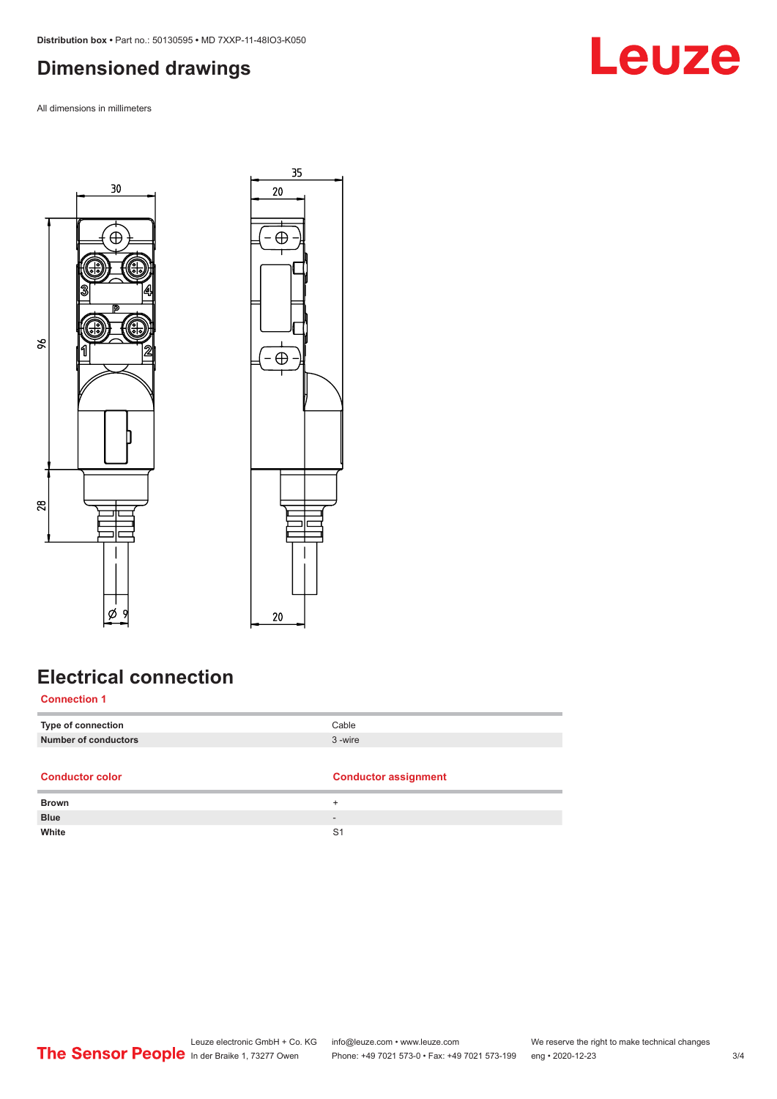#### <span id="page-2-0"></span>**Dimensioned drawings**

All dimensions in millimeters





### **Electrical connection**

**Connection 1**

| A consideration and con- | A considerable to a constitution of the second construction of the second construction of the second construction of the second construction of the second construction of the second construction of the second construction |
|--------------------------|-------------------------------------------------------------------------------------------------------------------------------------------------------------------------------------------------------------------------------|
| Number of conductors     | 3-wire                                                                                                                                                                                                                        |
| Type of connection       | Cable                                                                                                                                                                                                                         |
|                          |                                                                                                                                                                                                                               |

| <b>Conductor color</b> | <b>Conductor assignment</b> |
|------------------------|-----------------------------|
| <b>Brown</b>           |                             |
| <b>Blue</b>            | $\overline{\phantom{a}}$    |
| White                  | S1                          |
|                        |                             |